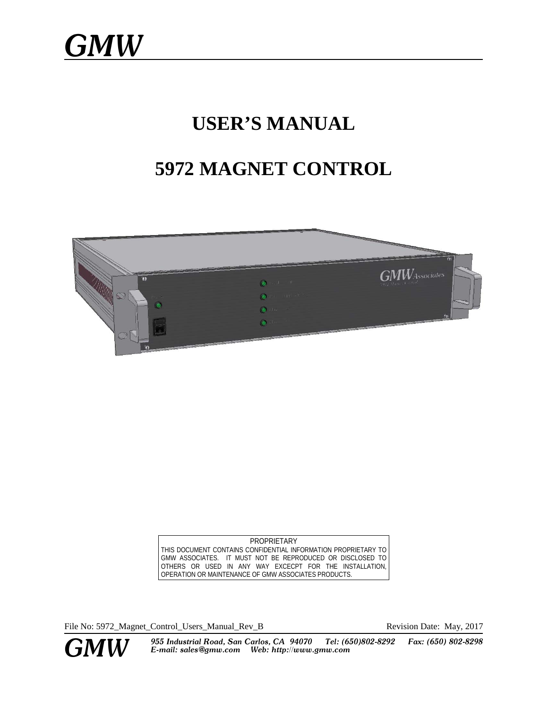# **USER'S MANUAL**

# **5972 MAGNET CONTROL**



PROPRIETARY THIS DOCUMENT CONTAINS CONFIDENTIAL INFORMATION PROPRIETARY TO GMW ASSOCIATES. IT MUST NOT BE REPRODUCED OR DISCLOSED TO OTHERS OR USED IN ANY WAY EXCECPT FOR THE INSTALLATION, OPERATION OR MAINTENANCE OF GMW ASSOCIATES PRODUCTS.

File No: 5972\_Magnet\_Control\_Users\_Manual\_Rev\_B Revision Date: May, 2017



**GMW** 955 Industrial Road, San Carlos, CA 94070 Tel: (650)802-8292 Fax: (650) 802-8298<br>**GMW** E-mail: sales@gmw.com Web: http://www.gmw.com *E-mail: sales@gmw.com Web: http://www.gmw.com*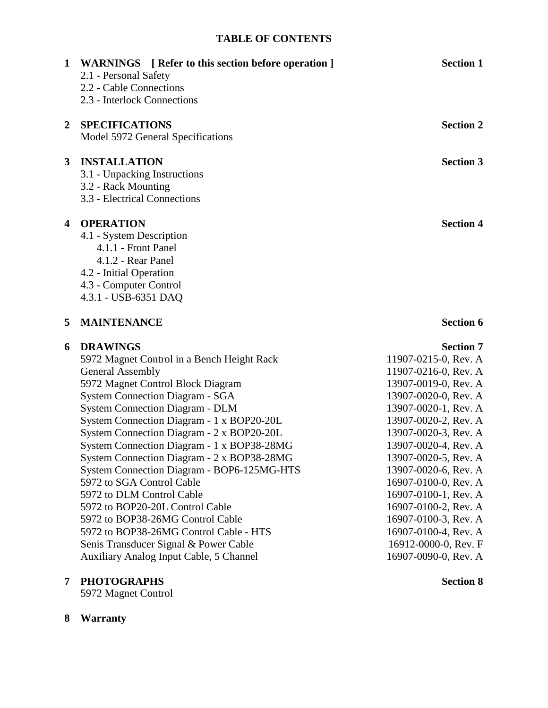# **TABLE OF CONTENTS**

| 1            | <b>WARNINGS</b> [ Refer to this section before operation ]<br>2.1 - Personal Safety<br>2.2 - Cable Connections<br>2.3 - Interlock Connections                                                                                                                                                                                                                                                                                                                                                                                                                                                                                                                                                                               | <b>Section 1</b>                                                                                                                                                                                                                                                                                                                                                                                                                         |
|--------------|-----------------------------------------------------------------------------------------------------------------------------------------------------------------------------------------------------------------------------------------------------------------------------------------------------------------------------------------------------------------------------------------------------------------------------------------------------------------------------------------------------------------------------------------------------------------------------------------------------------------------------------------------------------------------------------------------------------------------------|------------------------------------------------------------------------------------------------------------------------------------------------------------------------------------------------------------------------------------------------------------------------------------------------------------------------------------------------------------------------------------------------------------------------------------------|
| $\mathbf{2}$ | <b>SPECIFICATIONS</b><br>Model 5972 General Specifications                                                                                                                                                                                                                                                                                                                                                                                                                                                                                                                                                                                                                                                                  | <b>Section 2</b>                                                                                                                                                                                                                                                                                                                                                                                                                         |
| $\mathbf{3}$ | <b>INSTALLATION</b><br>3.1 - Unpacking Instructions<br>3.2 - Rack Mounting<br>3.3 - Electrical Connections                                                                                                                                                                                                                                                                                                                                                                                                                                                                                                                                                                                                                  | <b>Section 3</b>                                                                                                                                                                                                                                                                                                                                                                                                                         |
| 4            | <b>OPERATION</b><br>4.1 - System Description<br>4.1.1 - Front Panel<br>4.1.2 - Rear Panel<br>4.2 - Initial Operation<br>4.3 - Computer Control<br>4.3.1 - USB-6351 DAQ                                                                                                                                                                                                                                                                                                                                                                                                                                                                                                                                                      | <b>Section 4</b>                                                                                                                                                                                                                                                                                                                                                                                                                         |
| 5            | <b>MAINTENANCE</b>                                                                                                                                                                                                                                                                                                                                                                                                                                                                                                                                                                                                                                                                                                          | <b>Section 6</b>                                                                                                                                                                                                                                                                                                                                                                                                                         |
| 6            | <b>DRAWINGS</b><br>5972 Magnet Control in a Bench Height Rack<br><b>General Assembly</b><br>5972 Magnet Control Block Diagram<br><b>System Connection Diagram - SGA</b><br><b>System Connection Diagram - DLM</b><br>System Connection Diagram - 1 x BOP20-20L<br>System Connection Diagram - 2 x BOP20-20L<br>System Connection Diagram - 1 x BOP38-28MG<br>System Connection Diagram - 2 x BOP38-28MG<br>System Connection Diagram - BOP6-125MG-HTS<br>5972 to SGA Control Cable<br>5972 to DLM Control Cable<br>5972 to BOP20-20L Control Cable<br>5972 to BOP38-26MG Control Cable<br>5972 to BOP38-26MG Control Cable - HTS<br>Senis Transducer Signal & Power Cable<br><b>Auxiliary Analog Input Cable, 5 Channel</b> | <b>Section 7</b><br>11907-0215-0, Rev. A<br>11907-0216-0, Rev. A<br>13907-0019-0, Rev. A<br>13907-0020-0, Rev. A<br>13907-0020-1, Rev. A<br>13907-0020-2, Rev. A<br>13907-0020-3, Rev. A<br>13907-0020-4, Rev. A<br>13907-0020-5, Rev. A<br>13907-0020-6, Rev. A<br>16907-0100-0, Rev. A<br>16907-0100-1, Rev. A<br>16907-0100-2, Rev. A<br>16907-0100-3, Rev. A<br>16907-0100-4, Rev. A<br>16912-0000-0, Rev. F<br>16907-0090-0, Rev. A |

# **7 PHOTOGRAPHS Section 8**

5972 Magnet Control

Auxiliary Analog Input Cable, 5 Channel

**8 Warranty**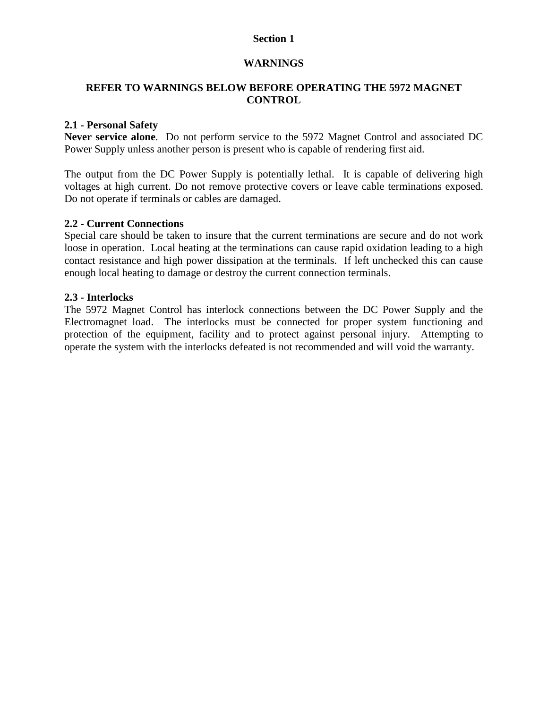# **WARNINGS**

# **REFER TO WARNINGS BELOW BEFORE OPERATING THE 5972 MAGNET CONTROL**

# **2.1 - Personal Safety**

**Never service alone**. Do not perform service to the 5972 Magnet Control and associated DC Power Supply unless another person is present who is capable of rendering first aid.

The output from the DC Power Supply is potentially lethal. It is capable of delivering high voltages at high current. Do not remove protective covers or leave cable terminations exposed. Do not operate if terminals or cables are damaged.

# **2.2 - Current Connections**

Special care should be taken to insure that the current terminations are secure and do not work loose in operation. Local heating at the terminations can cause rapid oxidation leading to a high contact resistance and high power dissipation at the terminals. If left unchecked this can cause enough local heating to damage or destroy the current connection terminals.

# **2.3 - Interlocks**

The 5972 Magnet Control has interlock connections between the DC Power Supply and the Electromagnet load. The interlocks must be connected for proper system functioning and protection of the equipment, facility and to protect against personal injury. Attempting to operate the system with the interlocks defeated is not recommended and will void the warranty.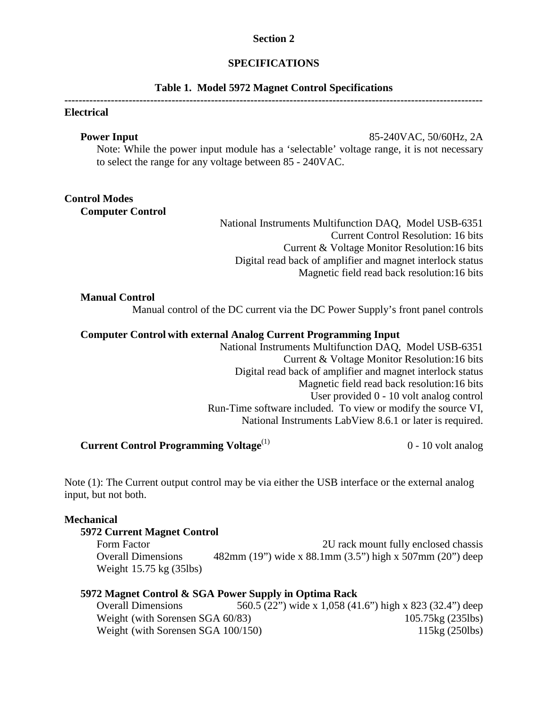# **SPECIFICATIONS**

#### **Table 1. Model 5972 Magnet Control Specifications**

## **---------------------------------------------------------------------------------------------------------------------**

# **Electrical**

**Power Input** 85-240VAC, 50/60Hz, 2A Note: While the power input module has a 'selectable' voltage range, it is not necessary to select the range for any voltage between 85 - 240VAC.

# **Control Modes**

**Computer Control**

National Instruments Multifunction DAQ, Model USB-6351 Current Control Resolution: 16 bits Current & Voltage Monitor Resolution:16 bits Digital read back of amplifier and magnet interlock status Magnetic field read back resolution:16 bits

#### **Manual Control**

Manual control of the DC current via the DC Power Supply's front panel controls

# **Computer Control with external Analog Current Programming Input**

National Instruments Multifunction DAQ, Model USB-6351 Current & Voltage Monitor Resolution:16 bits Digital read back of amplifier and magnet interlock status Magnetic field read back resolution:16 bits User provided 0 - 10 volt analog control Run-Time software included. To view or modify the source VI, National Instruments LabView 8.6.1 or later is required.

# **Current Control Programming Voltage<sup>(1)</sup> 0 - 10 volt analog**

Note (1): The Current output control may be via either the USB interface or the external analog input, but not both.

## **Mechanical**

#### **5972 Current Magnet Control**

Form Factor **2U** rack mount fully enclosed chassis Overall Dimensions  $482 \text{mm}$  (19") wide x 88.1mm (3.5") high x 507mm (20") deep Weight 15.75 kg (35lbs)

# **5972 Magnet Control & SGA Power Supply in Optima Rack**

Overall Dimensions 560.5 (22") wide x 1,058 (41.6") high x 823 (32.4") deep Weight (with Sorensen SGA 60/83) 105.75kg (235lbs) Weight (with Sorensen SGA 100/150) 115kg (250lbs)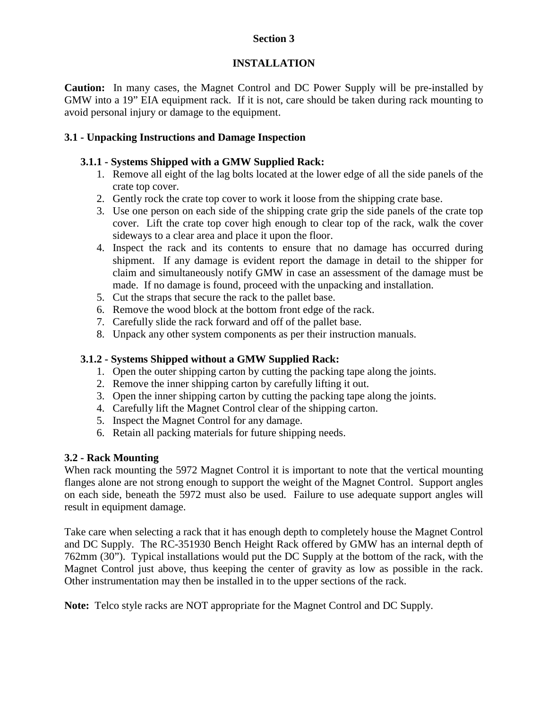# **INSTALLATION**

**Caution:** In many cases, the Magnet Control and DC Power Supply will be pre-installed by GMW into a 19" EIA equipment rack. If it is not, care should be taken during rack mounting to avoid personal injury or damage to the equipment.

# **3.1 - Unpacking Instructions and Damage Inspection**

# **3.1.1 - Systems Shipped with a GMW Supplied Rack:**

- 1. Remove all eight of the lag bolts located at the lower edge of all the side panels of the crate top cover.
- 2. Gently rock the crate top cover to work it loose from the shipping crate base.
- 3. Use one person on each side of the shipping crate grip the side panels of the crate top cover. Lift the crate top cover high enough to clear top of the rack, walk the cover sideways to a clear area and place it upon the floor.
- 4. Inspect the rack and its contents to ensure that no damage has occurred during shipment. If any damage is evident report the damage in detail to the shipper for claim and simultaneously notify GMW in case an assessment of the damage must be made. If no damage is found, proceed with the unpacking and installation.
- 5. Cut the straps that secure the rack to the pallet base.
- 6. Remove the wood block at the bottom front edge of the rack.
- 7. Carefully slide the rack forward and off of the pallet base.
- 8. Unpack any other system components as per their instruction manuals.

# **3.1.2 - Systems Shipped without a GMW Supplied Rack:**

- 1. Open the outer shipping carton by cutting the packing tape along the joints.
- 2. Remove the inner shipping carton by carefully lifting it out.
- 3. Open the inner shipping carton by cutting the packing tape along the joints.
- 4. Carefully lift the Magnet Control clear of the shipping carton.
- 5. Inspect the Magnet Control for any damage.
- 6. Retain all packing materials for future shipping needs.

# **3.2 - Rack Mounting**

When rack mounting the 5972 Magnet Control it is important to note that the vertical mounting flanges alone are not strong enough to support the weight of the Magnet Control. Support angles on each side, beneath the 5972 must also be used. Failure to use adequate support angles will result in equipment damage.

Take care when selecting a rack that it has enough depth to completely house the Magnet Control and DC Supply. The RC-351930 Bench Height Rack offered by GMW has an internal depth of 762mm (30"). Typical installations would put the DC Supply at the bottom of the rack, with the Magnet Control just above, thus keeping the center of gravity as low as possible in the rack. Other instrumentation may then be installed in to the upper sections of the rack.

**Note:** Telco style racks are NOT appropriate for the Magnet Control and DC Supply.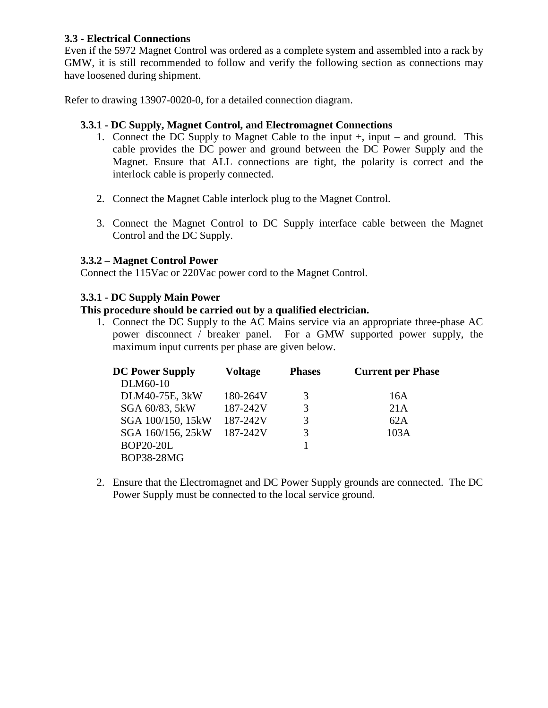# **3.3 - Electrical Connections**

Even if the 5972 Magnet Control was ordered as a complete system and assembled into a rack by GMW, it is still recommended to follow and verify the following section as connections may have loosened during shipment.

Refer to drawing 13907-0020-0, for a detailed connection diagram.

# **3.3.1 - DC Supply, Magnet Control, and Electromagnet Connections**

- 1. Connect the DC Supply to Magnet Cable to the input +, input and ground. This cable provides the DC power and ground between the DC Power Supply and the Magnet. Ensure that ALL connections are tight, the polarity is correct and the interlock cable is properly connected.
- 2. Connect the Magnet Cable interlock plug to the Magnet Control.
- 3. Connect the Magnet Control to DC Supply interface cable between the Magnet Control and the DC Supply.

# **3.3.2 – Magnet Control Power**

Connect the 115Vac or 220Vac power cord to the Magnet Control.

# **3.3.1 - DC Supply Main Power**

# **This procedure should be carried out by a qualified electrician.**

1. Connect the DC Supply to the AC Mains service via an appropriate three-phase AC power disconnect / breaker panel. For a GMW supported power supply, the maximum input currents per phase are given below.

| <b>DC Power Supply</b> | <b>Voltage</b> | <b>Phases</b> | <b>Current per Phase</b> |  |
|------------------------|----------------|---------------|--------------------------|--|
| DLM60-10               |                |               |                          |  |
| DLM40-75E, 3kW         | 180-264V       | 3             | 16A                      |  |
| SGA 60/83, 5kW         | 187-242V       | 3             | 21A                      |  |
| SGA 100/150, 15kW      | 187-242V       | 3             | 62A                      |  |
| SGA 160/156, 25kW      | 187-242V       | 3             | 103A                     |  |
| <b>BOP20-20L</b>       |                |               |                          |  |
| <b>BOP38-28MG</b>      |                |               |                          |  |

2. Ensure that the Electromagnet and DC Power Supply grounds are connected. The DC Power Supply must be connected to the local service ground.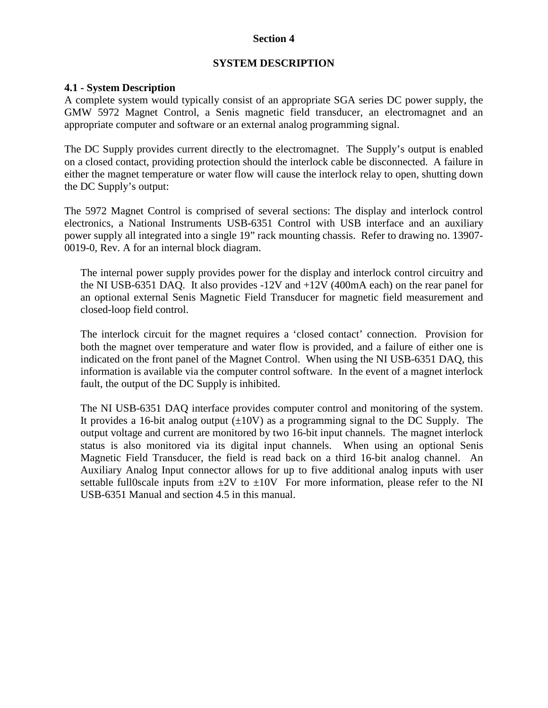# **SYSTEM DESCRIPTION**

# **4.1 - System Description**

A complete system would typically consist of an appropriate SGA series DC power supply, the GMW 5972 Magnet Control, a Senis magnetic field transducer, an electromagnet and an appropriate computer and software or an external analog programming signal.

The DC Supply provides current directly to the electromagnet. The Supply's output is enabled on a closed contact, providing protection should the interlock cable be disconnected. A failure in either the magnet temperature or water flow will cause the interlock relay to open, shutting down the DC Supply's output:

The 5972 Magnet Control is comprised of several sections: The display and interlock control electronics, a National Instruments USB-6351 Control with USB interface and an auxiliary power supply all integrated into a single 19" rack mounting chassis. Refer to drawing no. 13907- 0019-0, Rev. A for an internal block diagram.

The internal power supply provides power for the display and interlock control circuitry and the NI USB-6351 DAQ. It also provides -12V and +12V (400mA each) on the rear panel for an optional external Senis Magnetic Field Transducer for magnetic field measurement and closed-loop field control.

The interlock circuit for the magnet requires a 'closed contact' connection. Provision for both the magnet over temperature and water flow is provided, and a failure of either one is indicated on the front panel of the Magnet Control. When using the NI USB-6351 DAQ, this information is available via the computer control software. In the event of a magnet interlock fault, the output of the DC Supply is inhibited.

The NI USB-6351 DAQ interface provides computer control and monitoring of the system. It provides a 16-bit analog output  $(\pm 10V)$  as a programming signal to the DC Supply. The output voltage and current are monitored by two 16-bit input channels. The magnet interlock status is also monitored via its digital input channels. When using an optional Senis Magnetic Field Transducer, the field is read back on a third 16-bit analog channel. An Auxiliary Analog Input connector allows for up to five additional analog inputs with user settable full0scale inputs from  $\pm 2V$  to  $\pm 10V$  For more information, please refer to the NI USB-6351 Manual and section 4.5 in this manual.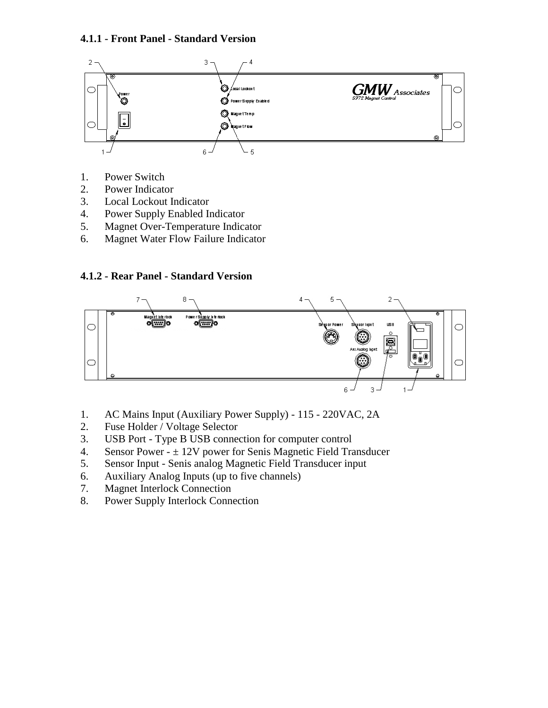# **4.1.1 - Front Panel - Standard Version**



- 1. Power Switch
- 2. Power Indicator
- 3. Local Lockout Indicator
- 4. Power Supply Enabled Indicator
- 5. Magnet Over-Temperature Indicator
- 6. Magnet Water Flow Failure Indicator

# **4.1.2 - Rear Panel - Standard Version**



- 1. AC Mains Input (Auxiliary Power Supply) 115 220VAC, 2A
- 2. Fuse Holder / Voltage Selector
- 3. USB Port Type B USB connection for computer control
- 4. Sensor Power  $\pm$  12V power for Senis Magnetic Field Transducer
- 5. Sensor Input Senis analog Magnetic Field Transducer input
- 6. Auxiliary Analog Inputs (up to five channels)
- 7. Magnet Interlock Connection
- 8. Power Supply Interlock Connection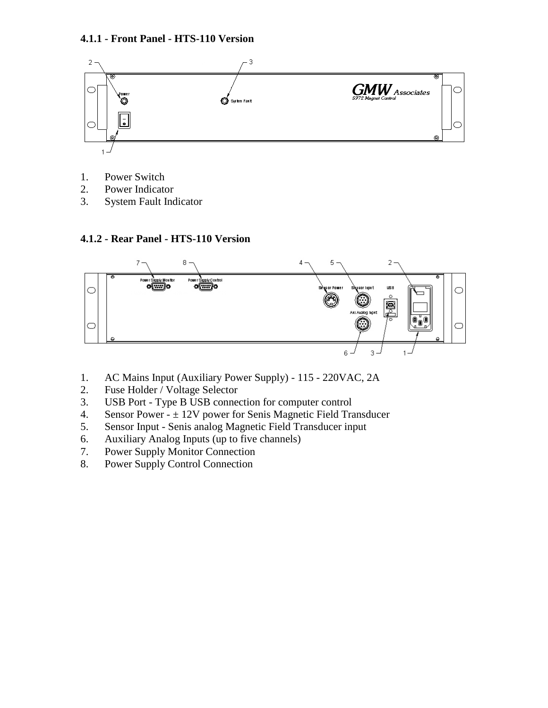# **4.1.1 - Front Panel - HTS-110 Version**



- 1. Power Switch
- 2. Power Indicator
- 3. System Fault Indicator

# **4.1.2 - Rear Panel - HTS-110 Version**



- 1. AC Mains Input (Auxiliary Power Supply) 115 220VAC, 2A
- 2. Fuse Holder / Voltage Selector
- 3. USB Port Type B USB connection for computer control
- 4. Sensor Power  $\pm$  12V power for Senis Magnetic Field Transducer
- 5. Sensor Input Senis analog Magnetic Field Transducer input
- 6. Auxiliary Analog Inputs (up to five channels)
- 7. Power Supply Monitor Connection
- 8. Power Supply Control Connection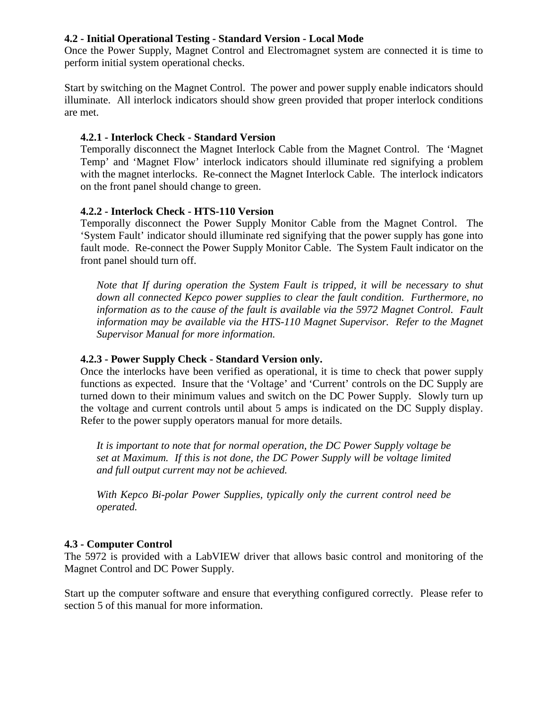# **4.2 - Initial Operational Testing - Standard Version - Local Mode**

Once the Power Supply, Magnet Control and Electromagnet system are connected it is time to perform initial system operational checks.

Start by switching on the Magnet Control. The power and power supply enable indicators should illuminate. All interlock indicators should show green provided that proper interlock conditions are met.

# **4.2.1 - Interlock Check - Standard Version**

Temporally disconnect the Magnet Interlock Cable from the Magnet Control. The 'Magnet Temp' and 'Magnet Flow' interlock indicators should illuminate red signifying a problem with the magnet interlocks. Re-connect the Magnet Interlock Cable. The interlock indicators on the front panel should change to green.

# **4.2.2 - Interlock Check - HTS-110 Version**

Temporally disconnect the Power Supply Monitor Cable from the Magnet Control. The 'System Fault' indicator should illuminate red signifying that the power supply has gone into fault mode. Re-connect the Power Supply Monitor Cable. The System Fault indicator on the front panel should turn off.

*Note that If during operation the System Fault is tripped, it will be necessary to shut down all connected Kepco power supplies to clear the fault condition. Furthermore, no information as to the cause of the fault is available via the 5972 Magnet Control. Fault*  information may be available via the HTS-110 Magnet Supervisor. Refer to the Magnet *Supervisor Manual for more information.*

# **4.2.3 - Power Supply Check - Standard Version only.**

Once the interlocks have been verified as operational, it is time to check that power supply functions as expected. Insure that the 'Voltage' and 'Current' controls on the DC Supply are turned down to their minimum values and switch on the DC Power Supply. Slowly turn up the voltage and current controls until about 5 amps is indicated on the DC Supply display. Refer to the power supply operators manual for more details.

*It is important to note that for normal operation, the DC Power Supply voltage be set at Maximum. If this is not done, the DC Power Supply will be voltage limited and full output current may not be achieved.*

*With Kepco Bi-polar Power Supplies, typically only the current control need be operated.*

# **4.3 - Computer Control**

The 5972 is provided with a LabVIEW driver that allows basic control and monitoring of the Magnet Control and DC Power Supply.

Start up the computer software and ensure that everything configured correctly. Please refer to section 5 of this manual for more information.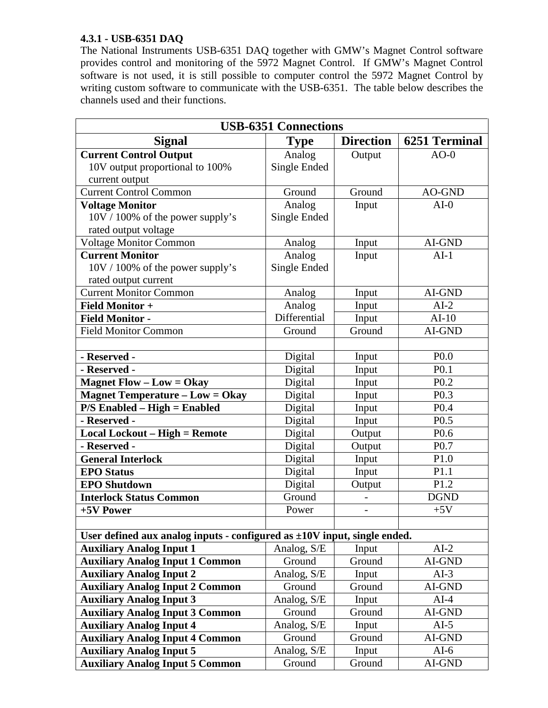# **4.3.1 - USB-6351 DAQ**

The National Instruments USB-6351 DAQ together with GMW's Magnet Control software provides control and monitoring of the 5972 Magnet Control. If GMW's Magnet Control software is not used, it is still possible to computer control the 5972 Magnet Control by writing custom software to communicate with the USB-6351. The table below describes the channels used and their functions.

| <b>USB-6351 Connections</b>                                                   |              |                  |                      |  |  |  |
|-------------------------------------------------------------------------------|--------------|------------------|----------------------|--|--|--|
| Signal                                                                        | <b>Type</b>  | <b>Direction</b> | <b>6251 Terminal</b> |  |  |  |
| <b>Current Control Output</b>                                                 | Analog       | Output           | $AO-0$               |  |  |  |
| 10V output proportional to 100%                                               | Single Ended |                  |                      |  |  |  |
| current output                                                                |              |                  |                      |  |  |  |
| <b>Current Control Common</b>                                                 | Ground       | Ground           | AO-GND               |  |  |  |
| <b>Voltage Monitor</b>                                                        | Analog       | Input            | $AI-0$               |  |  |  |
| $10V / 100\%$ of the power supply's                                           | Single Ended |                  |                      |  |  |  |
| rated output voltage                                                          |              |                  |                      |  |  |  |
| <b>Voltage Monitor Common</b>                                                 | Analog       | Input            | AI-GND               |  |  |  |
| <b>Current Monitor</b>                                                        | Analog       | Input            | $AI-1$               |  |  |  |
| $10V / 100\%$ of the power supply's                                           | Single Ended |                  |                      |  |  |  |
| rated output current                                                          |              |                  |                      |  |  |  |
| <b>Current Monitor Common</b>                                                 | Analog       | Input            | AI-GND               |  |  |  |
| <b>Field Monitor +</b>                                                        | Analog       | Input            | $AI-2$               |  |  |  |
| <b>Field Monitor -</b>                                                        | Differential | Input            | $AI-10$              |  |  |  |
| <b>Field Monitor Common</b>                                                   | Ground       | Ground           | AI-GND               |  |  |  |
|                                                                               |              |                  |                      |  |  |  |
| - Reserved -                                                                  | Digital      | Input            | P <sub>0.0</sub>     |  |  |  |
| - Reserved -                                                                  | Digital      | Input            | P <sub>0.1</sub>     |  |  |  |
| <b>Magnet Flow – Low = Okay</b>                                               | Digital      | Input            | P <sub>0.2</sub>     |  |  |  |
| <b>Magnet Temperature – Low = Okay</b>                                        | Digital      | Input            | P <sub>0.3</sub>     |  |  |  |
| $P/S$ Enabled – High = Enabled                                                | Digital      | Input            | P <sub>0.4</sub>     |  |  |  |
| - Reserved -                                                                  | Digital      | Input            | P <sub>0.5</sub>     |  |  |  |
| <b>Local Lockout - High = Remote</b>                                          | Digital      | Output           | P <sub>0.6</sub>     |  |  |  |
| - Reserved -                                                                  | Digital      | Output           | P <sub>0.7</sub>     |  |  |  |
| <b>General Interlock</b>                                                      | Digital      | Input            | P <sub>1.0</sub>     |  |  |  |
| <b>EPO</b> Status                                                             | Digital      | Input            | P1.1                 |  |  |  |
| <b>EPO Shutdown</b>                                                           | Digital      | Output           | P1.2                 |  |  |  |
| <b>Interlock Status Common</b>                                                | Ground       |                  | <b>DGND</b>          |  |  |  |
| +5V Power                                                                     | Power        |                  | $+5V$                |  |  |  |
|                                                                               |              |                  |                      |  |  |  |
| User defined aux analog inputs - configured as $\pm 10V$ input, single ended. |              |                  |                      |  |  |  |
| <b>Auxiliary Analog Input 1</b>                                               | Analog, S/E  | Input            | $AI-2$               |  |  |  |
| <b>Auxiliary Analog Input 1 Common</b>                                        | Ground       | Ground           | AI-GND               |  |  |  |
| <b>Auxiliary Analog Input 2</b>                                               | Analog, S/E  | Input            | $AI-3$               |  |  |  |
| <b>Auxiliary Analog Input 2 Common</b>                                        | Ground       | Ground           | AI-GND               |  |  |  |
| <b>Auxiliary Analog Input 3</b>                                               | Analog, S/E  | Input            | $AI-4$               |  |  |  |
| <b>Auxiliary Analog Input 3 Common</b>                                        | Ground       | Ground           | $AI-GND$             |  |  |  |
| <b>Auxiliary Analog Input 4</b>                                               | Analog, S/E  | Input            | $AI-5$               |  |  |  |
| <b>Auxiliary Analog Input 4 Common</b>                                        | Ground       | Ground           | AI-GND               |  |  |  |
| <b>Auxiliary Analog Input 5</b>                                               | Analog, S/E  | Input            | $AI-6$               |  |  |  |
| <b>Auxiliary Analog Input 5 Common</b>                                        | Ground       | Ground           | AI-GND               |  |  |  |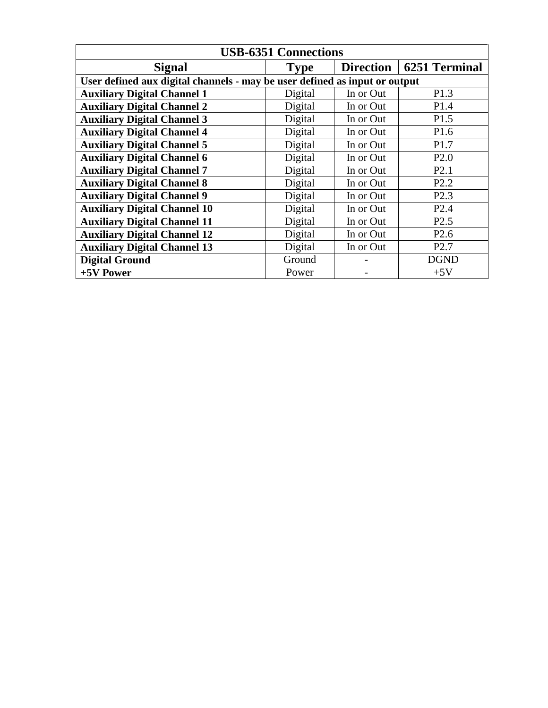| <b>USB-6351 Connections</b>                                                |             |                  |                      |  |  |  |
|----------------------------------------------------------------------------|-------------|------------------|----------------------|--|--|--|
| <b>Signal</b>                                                              | <b>Type</b> | <b>Direction</b> | <b>6251 Terminal</b> |  |  |  |
| User defined aux digital channels - may be user defined as input or output |             |                  |                      |  |  |  |
| <b>Auxiliary Digital Channel 1</b>                                         | Digital     | In or Out        | P <sub>1.3</sub>     |  |  |  |
| <b>Auxiliary Digital Channel 2</b>                                         | Digital     | In or Out        | P1.4                 |  |  |  |
| <b>Auxiliary Digital Channel 3</b>                                         | Digital     | In or Out        | P <sub>1.5</sub>     |  |  |  |
| <b>Auxiliary Digital Channel 4</b>                                         | Digital     | In or Out        | P <sub>1.6</sub>     |  |  |  |
| <b>Auxiliary Digital Channel 5</b>                                         | Digital     | In or Out        | P <sub>1.7</sub>     |  |  |  |
| <b>Auxiliary Digital Channel 6</b>                                         | Digital     | In or Out        | P2.0                 |  |  |  |
| <b>Auxiliary Digital Channel 7</b>                                         | Digital     | In or Out        | P2.1                 |  |  |  |
| <b>Auxiliary Digital Channel 8</b>                                         | Digital     | In or Out        | P2.2                 |  |  |  |
| <b>Auxiliary Digital Channel 9</b>                                         | Digital     | In or Out        | P2.3                 |  |  |  |
| <b>Auxiliary Digital Channel 10</b>                                        | Digital     | In or Out        | P2.4                 |  |  |  |
| <b>Auxiliary Digital Channel 11</b>                                        | Digital     | In or Out        | P <sub>2.5</sub>     |  |  |  |
| <b>Auxiliary Digital Channel 12</b>                                        | Digital     | In or Out        | P <sub>2.6</sub>     |  |  |  |
| <b>Auxiliary Digital Channel 13</b>                                        | Digital     | In or Out        | P <sub>2.7</sub>     |  |  |  |
| <b>Digital Ground</b>                                                      | Ground      |                  | <b>DGND</b>          |  |  |  |
| +5V Power                                                                  | Power       |                  | $+5V$                |  |  |  |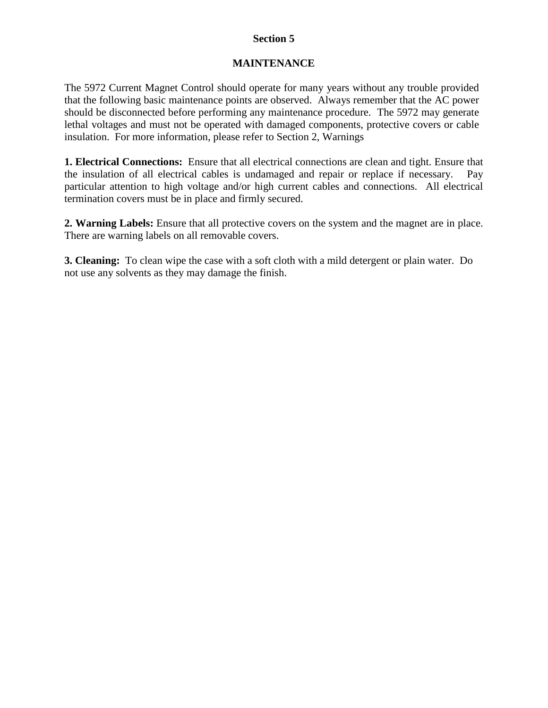# **MAINTENANCE**

The 5972 Current Magnet Control should operate for many years without any trouble provided that the following basic maintenance points are observed. Always remember that the AC power should be disconnected before performing any maintenance procedure. The 5972 may generate lethal voltages and must not be operated with damaged components, protective covers or cable insulation. For more information, please refer to Section 2, Warnings

**1. Electrical Connections:** Ensure that all electrical connections are clean and tight. Ensure that the insulation of all electrical cables is undamaged and repair or replace if necessary. Pay particular attention to high voltage and/or high current cables and connections. All electrical termination covers must be in place and firmly secured.

**2. Warning Labels:** Ensure that all protective covers on the system and the magnet are in place. There are warning labels on all removable covers.

**3. Cleaning:** To clean wipe the case with a soft cloth with a mild detergent or plain water. Do not use any solvents as they may damage the finish.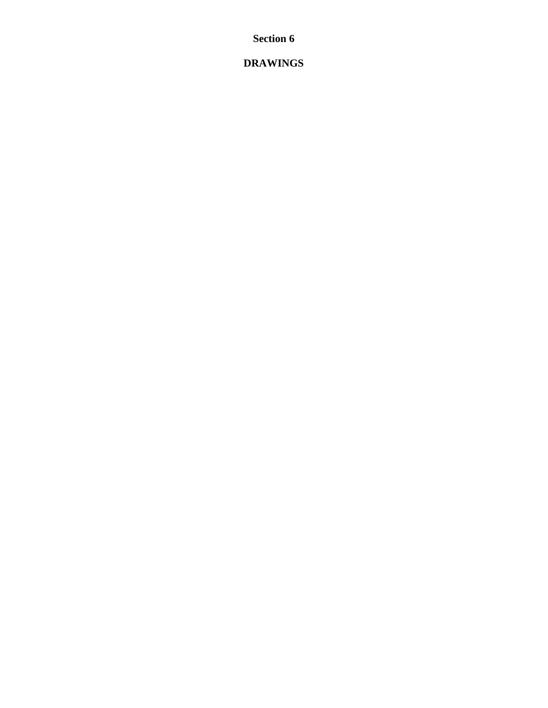**DRAWINGS**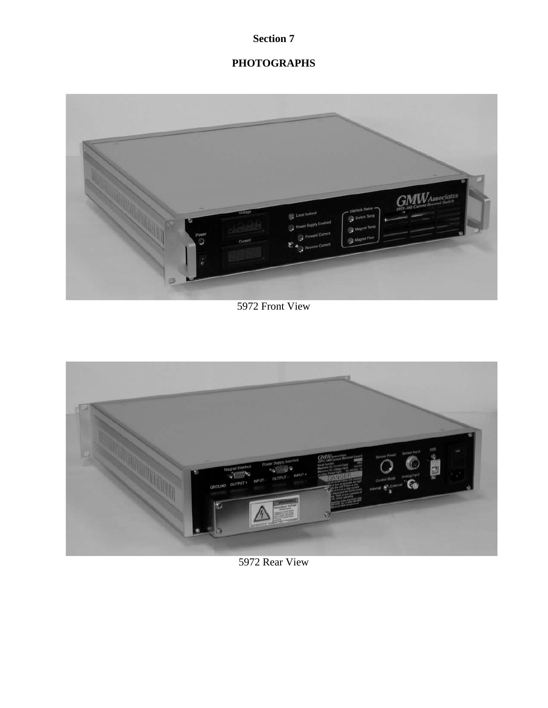# **PHOTOGRAPHS**



5972 Front View



5972 Rear View